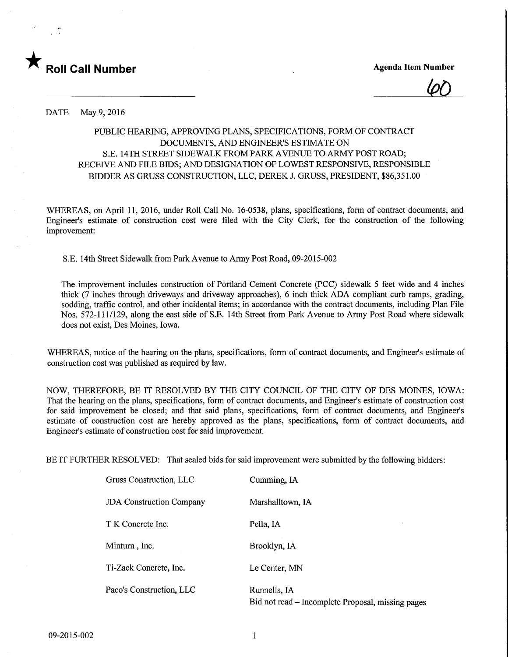

 $60$ 

DATE May 9, 2016

## PUBLIC HEARING, APPROVING PLANS, SPECIFICATIONS, FORM OF CONTRACT DOCUMENTS, AND ENGINEER'S ESTIMATE ON S.E. 14TH STREET SIDEWALK FROM PARK AVENUE TO ARMY POST ROAD; RECEIVE AND FILE BIDS; AND DESIGNATION OF LOWEST RESPONSIVE, RESPONSIBLE BIDDER AS GRUSS CONSTRUCTION, LLC, DEREK J. GRUSS, PRESIDENT, \$86,351.00

WHEREAS, on April 11, 2016, under Roll Call No. 16-0538, plans, specifications, form of contract documents, and Engineer's estimate of construction cost were filed with the City Clerk, for the construction of the following improvement:

S.E. 14th Street Sidewalk from Park Avenue to Army Post Road,09-2015-002

The improvement includes construction of Portland Cement Concrete (PCC) sidewalk 5 feet wide and 4 inches thick (7 inches through driveways and driveway approaches), 6 inch thick ADA compliant curb ramps, grading, sodding, traffic control, and other incidental items; in accordance with the contract documents, including Plan File Nos. 572-111/129, along the east side of S.E. 14th Street from Park Avenue to Army Post Road where sidewalk does not exist, Des Moines, Iowa.

WHEREAS, notice of the hearing on the plans, specifications, form of contract documents, and Engineer's estimate of construction cost was published as required by law.

NOW, THEREFORE, BE IT RESOLVED BY THE CITY COUNCIL OF THE CITY OF DES MOINES, IOWA: That the hearing on the plans, specifications, form of contract documents, and Engineer's estimate of construction cost for said improvement be closed; and that said plans, specifications, form of contract documents, and Engineer's estimate of construction cost are hereby approved as the plans, specifications, form of contract documents, and Engineer's estimate of construction cost for said improvement.

BE IT FURTHER RESOLVED: That sealed bids for said improvement were submitted by the following bidders:

| Gruss Construction, LLC         | Cumming, IA                                                       |  |  |  |  |
|---------------------------------|-------------------------------------------------------------------|--|--|--|--|
| <b>JDA</b> Construction Company | Marshalltown, IA                                                  |  |  |  |  |
| T K Concrete Inc.               | Pella, IA                                                         |  |  |  |  |
| Minturn, Inc.                   | Brooklyn, IA                                                      |  |  |  |  |
| Ti-Zack Concrete, Inc.          | Le Center, MN                                                     |  |  |  |  |
| Paco's Construction, LLC        | Runnells, IA<br>Bid not read – Incomplete Proposal, missing pages |  |  |  |  |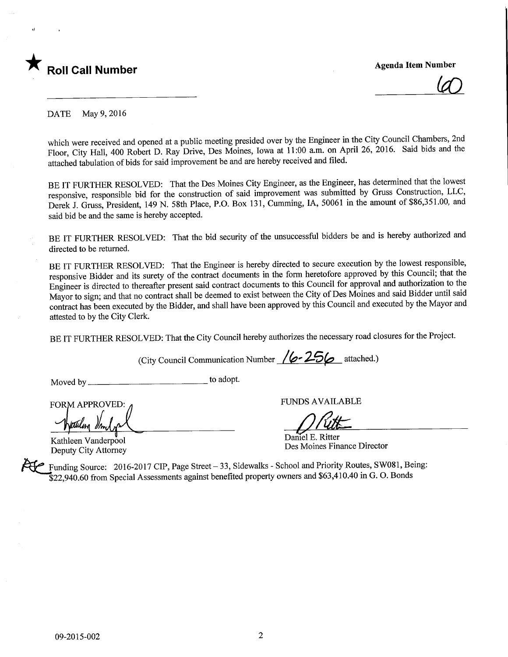

 $\mathcal{Q}$ 

DATE May 9, 2016

which were received and opened at a public meeting presided over by the Engineer in the City Council Chambers, 2nd Floor, City Hall, 400 Robert D. Ray Drive, Des Moines, Iowa at 11:00 a.m. on April 26, 2016. Said bids and the attached tabulation of bids for said improvement be and are hereby received and filed.

BE IT FURTHER RESOLVED: That the Des Moines City Engineer, as the Engineer, has determined that the lowest responsive, responsible bid for the construction of said improvement was submitted by Grass Construction, LLC, Derek J. Gruss, President, 149 N. 58th Place, P.O. Box 131, Gumming, IA, 50061 in the amount of \$86,351.00, and said bid be and the same is hereby accepted.

BE IT FURTHER RESOLVED: That the bid security of the unsuccessful bidders be and is hereby authorized and directed to be returned.

BE IT FURTHER RESOLVED: That the Engineer is hereby directed to secure execution by the lowest responsible, responsive Bidder and its surety of the contract documents in the form heretofore approved by this Council; that the Engineer is directed to thereafter present said contract documents to this Council for approval and authorization to the Mayor to sign; and that no contract shall be deemed to exist between the City of Des Moines and said Bidder until said contract has been executed by the Bidder, and shall have been approved by this Council and executed by the Mayor and attested to by the City Clerk.

BE IT FURTHER RESOLVED: That the City Council hereby authorizes the necessary road closures for the Project.

(City Council Communication Number  $/6 - 256$  attached.)

Moved by \_ to adopt.

FORM APPROVED: A FUNDS AVAILABLE FORM APPROVED:<br>
Watchleen Vanderpool Daniel E. Ritter<br>
Kathleen Vanderpool Des Moines Ein

Des Moines Finance Director<br>Deputy City Attorney Des Moines Finance Director

Funding Source: 2016-2017 CIP, Page Street - 33, Sidewalks - School and Priority Routes, SW081, Being: \$22,940.60 from Special Assessments against benefited property owners and \$63,410.40 in G. O. Bonds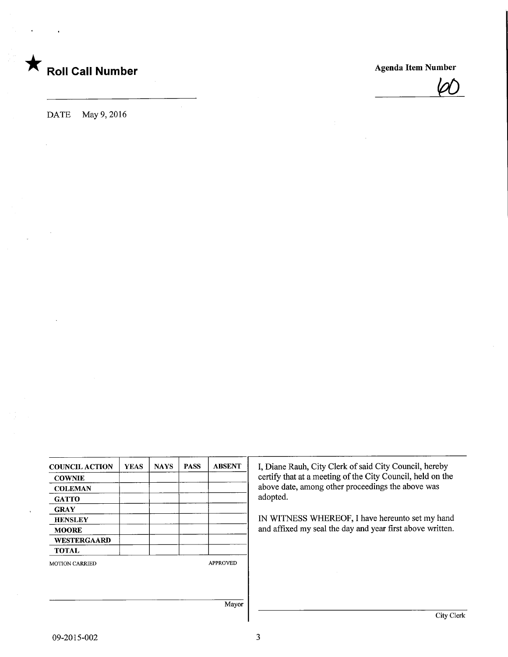



DATE May 9, 2016

| <b>COUNCIL ACTION</b> | <b>YEAS</b> | <b>NAYS</b> | <b>PASS</b> | <b>ABSENT</b>   |
|-----------------------|-------------|-------------|-------------|-----------------|
| <b>COWNIE</b>         |             |             |             |                 |
| <b>COLEMAN</b>        |             |             |             |                 |
| <b>GATTO</b>          |             |             |             |                 |
| <b>GRAY</b>           |             |             |             |                 |
| <b>HENSLEY</b>        |             |             |             |                 |
| <b>MOORE</b>          |             |             |             |                 |
| WESTERGAARD           |             |             |             |                 |
| <b>TOTAL</b>          |             |             |             |                 |
| <b>MOTION CARRIED</b> |             |             |             | <b>APPROVED</b> |
|                       |             |             |             | Mayor           |

Diane Rauh, City Clerk of said City Council, hereby rtify that at a meeting of the City Council, held on the above date, among other proceedings the above was opted.

WITNESS WHEREOF, I have hereunto set my hand d affixed my seal the day and year first above written.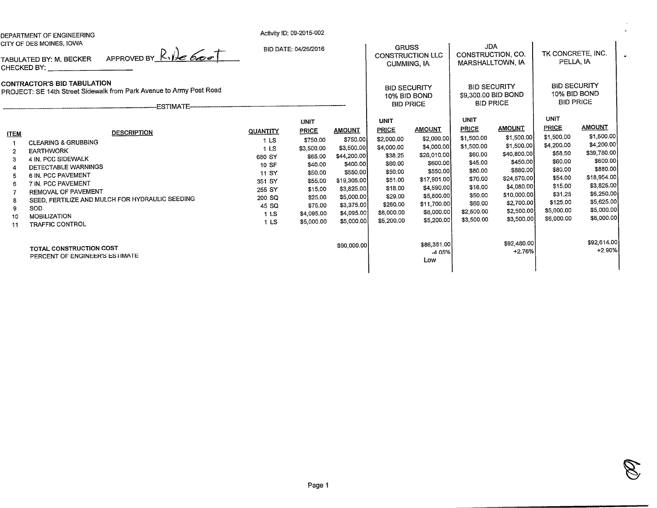|                                                                                                         | DEPARTMENT OF ENGINEERING                                                                                                                                                                                                                                                                           |                                                                                                                                              | Activity ID: 09-2015-002                                                                                                                                       |                                                                                                                                                                     |                                                                                                                                                                   |                                                                                                                                                                        |                                                                                                                                                                  |                                                                                                                                                                        |                                                                                                                                                                   |                                                                                                                                                                       |  |
|---------------------------------------------------------------------------------------------------------|-----------------------------------------------------------------------------------------------------------------------------------------------------------------------------------------------------------------------------------------------------------------------------------------------------|----------------------------------------------------------------------------------------------------------------------------------------------|----------------------------------------------------------------------------------------------------------------------------------------------------------------|---------------------------------------------------------------------------------------------------------------------------------------------------------------------|-------------------------------------------------------------------------------------------------------------------------------------------------------------------|------------------------------------------------------------------------------------------------------------------------------------------------------------------------|------------------------------------------------------------------------------------------------------------------------------------------------------------------|------------------------------------------------------------------------------------------------------------------------------------------------------------------------|-------------------------------------------------------------------------------------------------------------------------------------------------------------------|-----------------------------------------------------------------------------------------------------------------------------------------------------------------------|--|
| CITY OF DES MOINES, IOWA<br>APPROVED BY $R$ , $R$ 6000<br>TABULATED BY: M. BECKER<br><b>CHECKED BY:</b> |                                                                                                                                                                                                                                                                                                     |                                                                                                                                              | BID DATE: 04/26/2016                                                                                                                                           |                                                                                                                                                                     |                                                                                                                                                                   | <b>GRUSS</b><br><b>CONSTRUCTION LLC</b><br><b>CUMMING, IA</b>                                                                                                          |                                                                                                                                                                  | <b>JDA</b><br>CONSTRUCTION, CO.<br>MARSHALLTOWN, IA                                                                                                                    |                                                                                                                                                                   | TK CONCRETE, INC.<br>PELLA, IA                                                                                                                                        |  |
|                                                                                                         | <b>CONTRACTOR'S BID TABULATION</b><br>PROJECT: SE 14th Street Sidewalk from Park Avenue to Army Post Road<br>-ESTIMATE-                                                                                                                                                                             |                                                                                                                                              |                                                                                                                                                                |                                                                                                                                                                     | <b>BID SECURITY</b><br>10% BID BOND<br><b>BID PRICE</b>                                                                                                           |                                                                                                                                                                        | <b>BID SECURITY</b><br>\$9,300.00 BID BOND<br><b>BID PRICE</b>                                                                                                   |                                                                                                                                                                        | <b>BID SECURITY</b><br>10% BID BOND<br><b>BID PRICE</b>                                                                                                           |                                                                                                                                                                       |  |
| <b>ITEM</b><br>3<br>5<br>6<br>9<br>10<br>11                                                             | <b>DESCRIPTION</b><br><b>CLEARING &amp; GRUBBING</b><br><b>EARTHWORK</b><br>4 IN. PCC SIDEWALK<br>DETECTABLE WARNINGS<br>6 IN. PCC PAVEMENT<br>7 IN. PCC PAVEMENT<br>REMOVAL OF PAVEMENT<br>SEED, FERTILIZE AND MULCH FOR HYDRAULIC SEEDING<br>SOD<br><b>MOBILIZATION</b><br><b>TRAFFIC CONTROL</b> | QUANTITY<br>1 <sub>LS</sub><br>1 <sub>LS</sub><br>680 SY<br>10 SF<br>11 SY<br>351 SY<br>255 SY<br>200 SQ<br>45 SQ<br>1 <sub>LS</sub><br>1 LS | <b>UNIT</b><br><b>PRICE</b><br>\$750,00<br>\$3,500.00<br>\$65.00<br>\$40.00<br>\$50.00<br>\$55.00<br>\$15,00<br>\$25.00<br>\$75.00<br>\$4,095.00<br>\$5,000.00 | <b>AMOUNT</b><br>\$750.00<br>\$3,500.00<br>\$44,200.00<br>\$400.00<br>\$550.00<br>\$19,305.00<br>\$3,825.00<br>\$5,000.00<br>\$3,375.00<br>\$4,095.00<br>\$5,000,00 | <b>UNIT</b><br><b>PRICE</b><br>\$2,000.00<br>\$4,000.00<br>\$38.25<br>\$60.00<br>\$50.00<br>\$51.00<br>\$18.00<br>\$29.00<br>\$260.00<br>\$8,000.00<br>\$5,200.00 | <b>AMOUNT</b><br>\$2,000.00<br>\$4,000,00<br>\$26,010.00<br>\$600.00<br>\$550.00<br>\$17,901.00<br>\$4,590.00<br>\$5,800.00<br>\$11,700.00<br>\$8,000.00<br>\$5,200.00 | <b>UNIT</b><br><b>PRICE</b><br>\$1,500.00<br>\$1,500.00<br>\$60.00<br>\$45.00<br>\$80.00<br>\$70.00<br>\$16.00<br>\$50,00<br>\$60.00<br>\$2,500.00<br>\$3,500.00 | <b>AMOUNT</b><br>\$1,500.00<br>\$1,500.00<br>\$40,800.00<br>\$450,00<br>\$880.00<br>\$24,570.00<br>\$4,080.00<br>\$10,000.00<br>\$2,700.00<br>\$2,500.00<br>\$3,500.00 | <b>UNIT</b><br><b>PRICE</b><br>\$1,500.00<br>\$4,200.00<br>\$58,50<br>\$60.00<br>\$80.00<br>\$54.00<br>\$15.00<br>\$31.25<br>\$125.00<br>\$5,000.00<br>\$6,000.00 | <b>AMOUNT</b><br>\$1,500.00<br>\$4,200.00<br>\$39,780.00<br>\$600.00<br>\$880.00<br>\$18,954.00<br>\$3,825.00<br>\$6,250.00<br>\$5,625.00<br>\$5,000.00<br>\$6,000.00 |  |
|                                                                                                         | TOTAL CONSTRUCTION COST<br>PERCENT OF ENGINEER'S ESTIMATE                                                                                                                                                                                                                                           |                                                                                                                                              |                                                                                                                                                                | \$90,000.00                                                                                                                                                         |                                                                                                                                                                   | \$86,351.00<br>-4.05%<br>Low                                                                                                                                           |                                                                                                                                                                  | \$92,480,00<br>$+2.76%$                                                                                                                                                |                                                                                                                                                                   | \$92,614.00<br>$+2.90%$                                                                                                                                               |  |

Page 1

B.